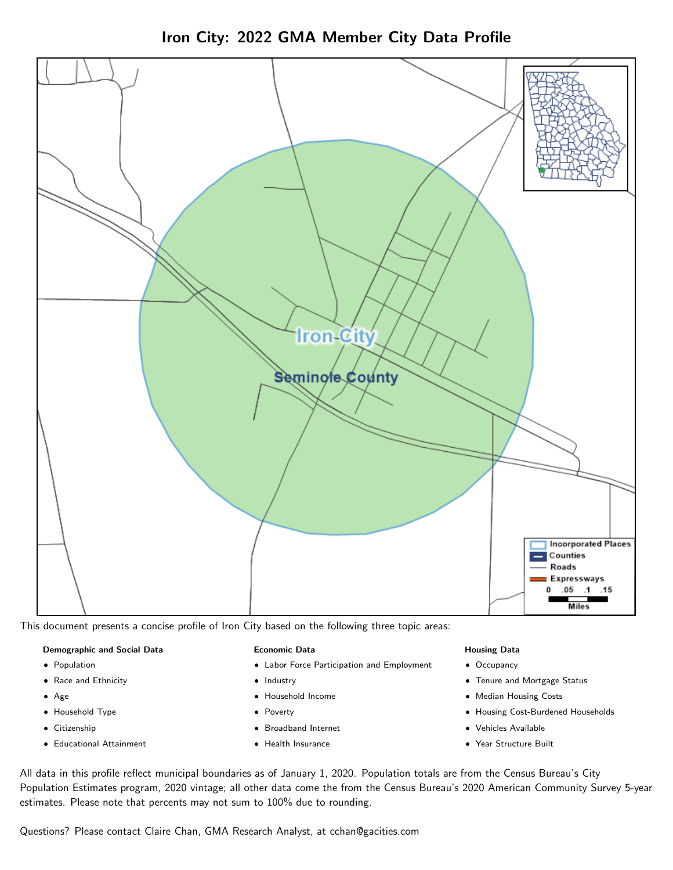Iron City: 2022 GMA Member City Data Profile



This document presents a concise profile of Iron City based on the following three topic areas:

#### Demographic and Social Data

- **•** Population
- Race and Ethnicity
- Age
- Household Type
- **Citizenship**
- Educational Attainment

#### Economic Data

- Labor Force Participation and Employment
- Industry
- Household Income
- Poverty
- Broadband Internet
- Health Insurance

#### Housing Data

- Occupancy
- Tenure and Mortgage Status
- Median Housing Costs
- Housing Cost-Burdened Households
- Vehicles Available
- Year Structure Built

All data in this profile reflect municipal boundaries as of January 1, 2020. Population totals are from the Census Bureau's City Population Estimates program, 2020 vintage; all other data come the from the Census Bureau's 2020 American Community Survey 5-year estimates. Please note that percents may not sum to 100% due to rounding.

Questions? Please contact Claire Chan, GMA Research Analyst, at [cchan@gacities.com.](mailto:cchan@gacities.com)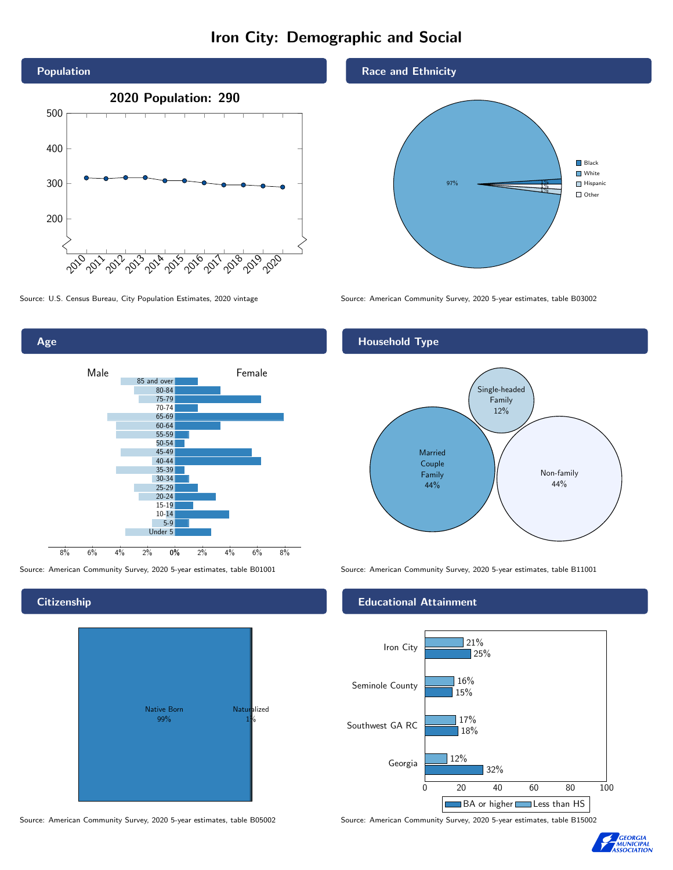# Iron City: Demographic and Social





# **Citizenship**



Source: American Community Survey, 2020 5-year estimates, table B05002 Source: American Community Survey, 2020 5-year estimates, table B15002

Race and Ethnicity



Source: U.S. Census Bureau, City Population Estimates, 2020 vintage Source: American Community Survey, 2020 5-year estimates, table B03002

## Household Type



Source: American Community Survey, 2020 5-year estimates, table B01001 Source: American Community Survey, 2020 5-year estimates, table B11001

## Educational Attainment



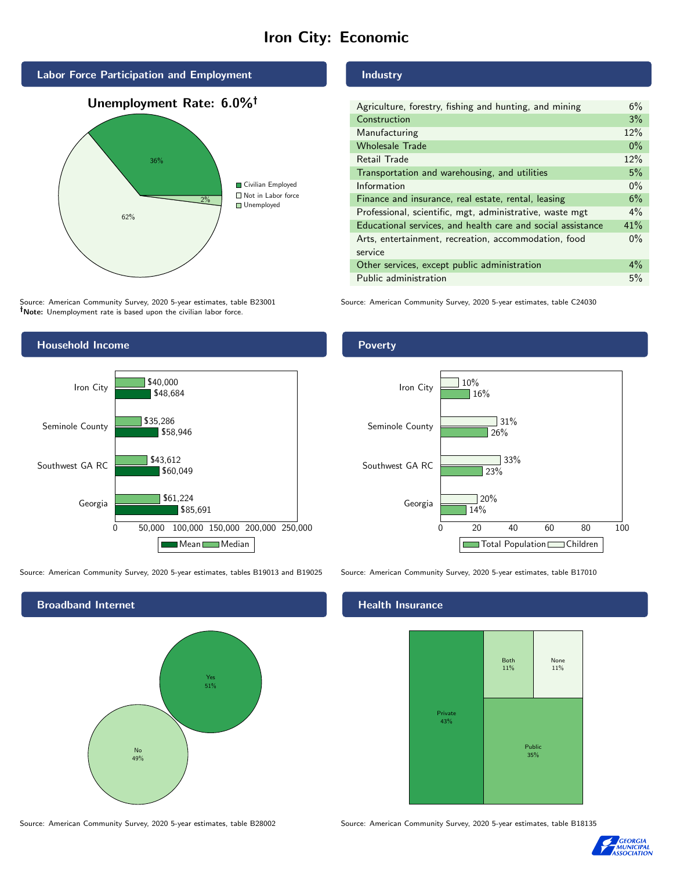# Iron City: Economic



Source: American Community Survey, 2020 5-year estimates, table B23001 Note: Unemployment rate is based upon the civilian labor force.

## **Industry**

| Agriculture, forestry, fishing and hunting, and mining      | 6%    |
|-------------------------------------------------------------|-------|
| Construction                                                | 3%    |
| Manufacturing                                               | 12%   |
| <b>Wholesale Trade</b>                                      | $0\%$ |
| Retail Trade                                                | 12%   |
| Transportation and warehousing, and utilities               | 5%    |
| Information                                                 | $0\%$ |
| Finance and insurance, real estate, rental, leasing         | 6%    |
| Professional, scientific, mgt, administrative, waste mgt    | $4\%$ |
| Educational services, and health care and social assistance | 41%   |
| Arts, entertainment, recreation, accommodation, food        | $0\%$ |
| service                                                     |       |
| Other services, except public administration                | $4\%$ |
| Public administration                                       | 5%    |

Source: American Community Survey, 2020 5-year estimates, table C24030



Source: American Community Survey, 2020 5-year estimates, tables B19013 and B19025 Source: American Community Survey, 2020 5-year estimates, table B17010

Broadband Internet No 49% Yes 51%

#### Health Insurance



Source: American Community Survey, 2020 5-year estimates, table B28002 Source: American Community Survey, 2020 5-year estimates, table B18135



## Poverty